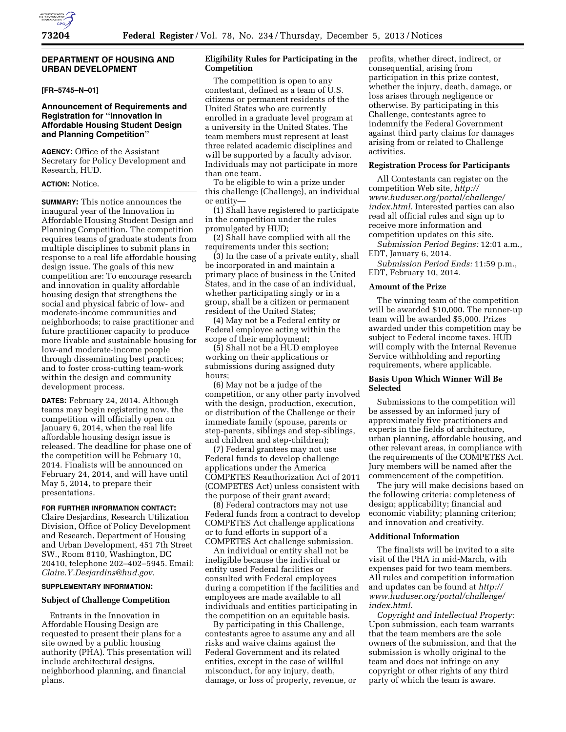# **DEPARTMENT OF HOUSING AND URBAN DEVELOPMENT**

# **[FR–5745–N–01]**

# **Announcement of Requirements and Registration for ''Innovation in Affordable Housing Student Design and Planning Competition''**

**AGENCY:** Office of the Assistant Secretary for Policy Development and Research, HUD.

# **ACTION:** Notice.

**SUMMARY:** This notice announces the inaugural year of the Innovation in Affordable Housing Student Design and Planning Competition. The competition requires teams of graduate students from multiple disciplines to submit plans in response to a real life affordable housing design issue. The goals of this new competition are: To encourage research and innovation in quality affordable housing design that strengthens the social and physical fabric of low- and moderate-income communities and neighborhoods; to raise practitioner and future practitioner capacity to produce more livable and sustainable housing for low-and moderate-income people through disseminating best practices; and to foster cross-cutting team-work within the design and community development process.

**DATES:** February 24, 2014. Although teams may begin registering now, the competition will officially open on January 6, 2014, when the real life affordable housing design issue is released. The deadline for phase one of the competition will be February 10, 2014. Finalists will be announced on February 24, 2014, and will have until May 5, 2014, to prepare their presentations.

# **FOR FURTHER INFORMATION CONTACT:**

Claire Desjardins, Research Utilization Division, Office of Policy Development and Research, Department of Housing and Urban Development, 451 7th Street SW., Room 8110, Washington, DC 20410, telephone 202–402–5945. Email: *[Claire.Y.Desjardins@hud.gov.](mailto:Claire.Y.Desjardins@hud.gov)* 

#### **SUPPLEMENTARY INFORMATION:**

## **Subject of Challenge Competition**

Entrants in the Innovation in Affordable Housing Design are requested to present their plans for a site owned by a public housing authority (PHA). This presentation will include architectural designs, neighborhood planning, and financial plans.

# **Eligibility Rules for Participating in the Competition**

The competition is open to any contestant, defined as a team of U.S. citizens or permanent residents of the United States who are currently enrolled in a graduate level program at a university in the United States. The team members must represent at least three related academic disciplines and will be supported by a faculty advisor. Individuals may not participate in more than one team.

To be eligible to win a prize under this challenge (Challenge), an individual or entity—

(1) Shall have registered to participate in the competition under the rules promulgated by HUD;

(2) Shall have complied with all the requirements under this section;

(3) In the case of a private entity, shall be incorporated in and maintain a primary place of business in the United States, and in the case of an individual, whether participating singly or in a group, shall be a citizen or permanent resident of the United States;

(4) May not be a Federal entity or Federal employee acting within the scope of their employment;

(5) Shall not be a HUD employee working on their applications or submissions during assigned duty hours;

(6) May not be a judge of the competition, or any other party involved with the design, production, execution, or distribution of the Challenge or their immediate family (spouse, parents or step-parents, siblings and step-siblings, and children and step-children);

(7) Federal grantees may not use Federal funds to develop challenge applications under the America COMPETES Reauthorization Act of 2011 (COMPETES Act) unless consistent with the purpose of their grant award;

(8) Federal contractors may not use Federal funds from a contract to develop COMPETES Act challenge applications or to fund efforts in support of a COMPETES Act challenge submission.

An individual or entity shall not be ineligible because the individual or entity used Federal facilities or consulted with Federal employees during a competition if the facilities and employees are made available to all individuals and entities participating in the competition on an equitable basis.

By participating in this Challenge, contestants agree to assume any and all risks and waive claims against the Federal Government and its related entities, except in the case of willful misconduct, for any injury, death, damage, or loss of property, revenue, or profits, whether direct, indirect, or consequential, arising from participation in this prize contest, whether the injury, death, damage, or loss arises through negligence or otherwise. By participating in this Challenge, contestants agree to indemnify the Federal Government against third party claims for damages arising from or related to Challenge activities.

## **Registration Process for Participants**

All Contestants can register on the competition Web site, *[http://](http://www.huduser.org/portal/challenge/index.html) [www.huduser.org/portal/challenge/](http://www.huduser.org/portal/challenge/index.html) [index.html.](http://www.huduser.org/portal/challenge/index.html)* Interested parties can also read all official rules and sign up to receive more information and competition updates on this site.

*Submission Period Begins:* 12:01 a.m., EDT, January 6, 2014.

*Submission Period Ends:* 11:59 p.m., EDT, February 10, 2014.

#### **Amount of the Prize**

The winning team of the competition will be awarded \$10,000. The runner-up team will be awarded \$5,000. Prizes awarded under this competition may be subject to Federal income taxes. HUD will comply with the Internal Revenue Service withholding and reporting requirements, where applicable.

## **Basis Upon Which Winner Will Be Selected**

Submissions to the competition will be assessed by an informed jury of approximately five practitioners and experts in the fields of architecture, urban planning, affordable housing, and other relevant areas, in compliance with the requirements of the COMPETES Act. Jury members will be named after the commencement of the competition.

The jury will make decisions based on the following criteria: completeness of design; applicability; financial and economic viability; planning criterion; and innovation and creativity.

## **Additional Information**

The finalists will be invited to a site visit of the PHA in mid-March, with expenses paid for two team members. All rules and competition information and updates can be found at *[http://](http://www.huduser.org/portal/challenge/index.html) [www.huduser.org/portal/challenge/](http://www.huduser.org/portal/challenge/index.html) [index.html.](http://www.huduser.org/portal/challenge/index.html)* 

*Copyright and Intellectual Property:*  Upon submission, each team warrants that the team members are the sole owners of the submission, and that the submission is wholly original to the team and does not infringe on any copyright or other rights of any third party of which the team is aware.